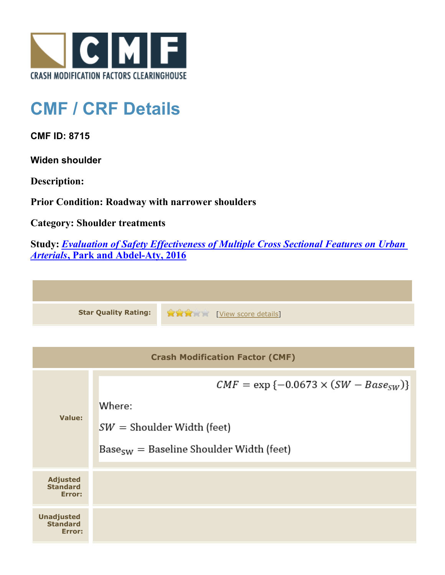

## **CMF / CRF Details**

**CMF ID: 8715**

**Widen shoulder**

**Description:** 

**Prior Condition: Roadway with narrower shoulders**

**Category: Shoulder treatments**

**Study:** *[Evaluation of Safety Effectiveness of Multiple Cross Sectional Features on Urban](http://www.cmfclearinghouse.org/study_detail.cfm?stid=476) [Arterials](http://www.cmfclearinghouse.org/study_detail.cfm?stid=476)***[, Park and Abdel-Aty, 2016](http://www.cmfclearinghouse.org/study_detail.cfm?stid=476)**



| <b>Crash Modification Factor (CMF)</b>         |                                                                                                                                                          |  |
|------------------------------------------------|----------------------------------------------------------------------------------------------------------------------------------------------------------|--|
| <b>Value:</b>                                  | $CMF = \exp \{-0.0673 \times (SW - Base_{SW})\}$<br>Where:<br>$SW =$ Shoulder Width (feet)<br>$\text{Base}_{SW} = \text{Baseline}$ Shoulder Width (feet) |  |
| <b>Adjusted</b><br><b>Standard</b><br>Error:   |                                                                                                                                                          |  |
| <b>Unadjusted</b><br><b>Standard</b><br>Error: |                                                                                                                                                          |  |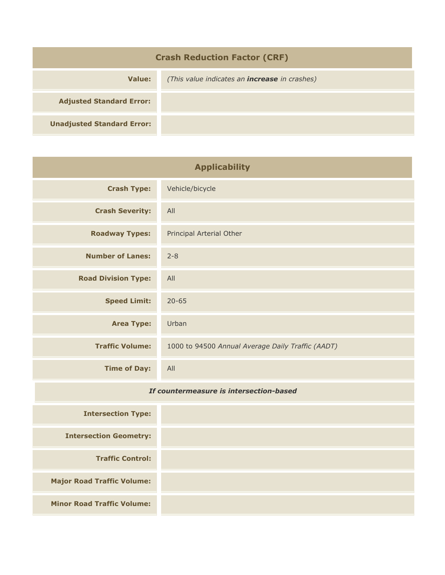| <b>Crash Reduction Factor (CRF)</b> |                                                      |  |
|-------------------------------------|------------------------------------------------------|--|
| <b>Value:</b>                       | (This value indicates an <b>increase</b> in crashes) |  |
| <b>Adjusted Standard Error:</b>     |                                                      |  |
| <b>Unadjusted Standard Error:</b>   |                                                      |  |

| <b>Applicability</b>       |                                                   |  |
|----------------------------|---------------------------------------------------|--|
| <b>Crash Type:</b>         | Vehicle/bicycle                                   |  |
| <b>Crash Severity:</b>     | All                                               |  |
| <b>Roadway Types:</b>      | Principal Arterial Other                          |  |
| <b>Number of Lanes:</b>    | $2 - 8$                                           |  |
| <b>Road Division Type:</b> | All                                               |  |
| <b>Speed Limit:</b>        | $20 - 65$                                         |  |
| <b>Area Type:</b>          | Urban                                             |  |
| <b>Traffic Volume:</b>     | 1000 to 94500 Annual Average Daily Traffic (AADT) |  |
| <b>Time of Day:</b>        | All                                               |  |

## *If countermeasure is intersection-based*

| <b>Intersection Type:</b>         |  |
|-----------------------------------|--|
| <b>Intersection Geometry:</b>     |  |
| <b>Traffic Control:</b>           |  |
| <b>Major Road Traffic Volume:</b> |  |
| <b>Minor Road Traffic Volume:</b> |  |